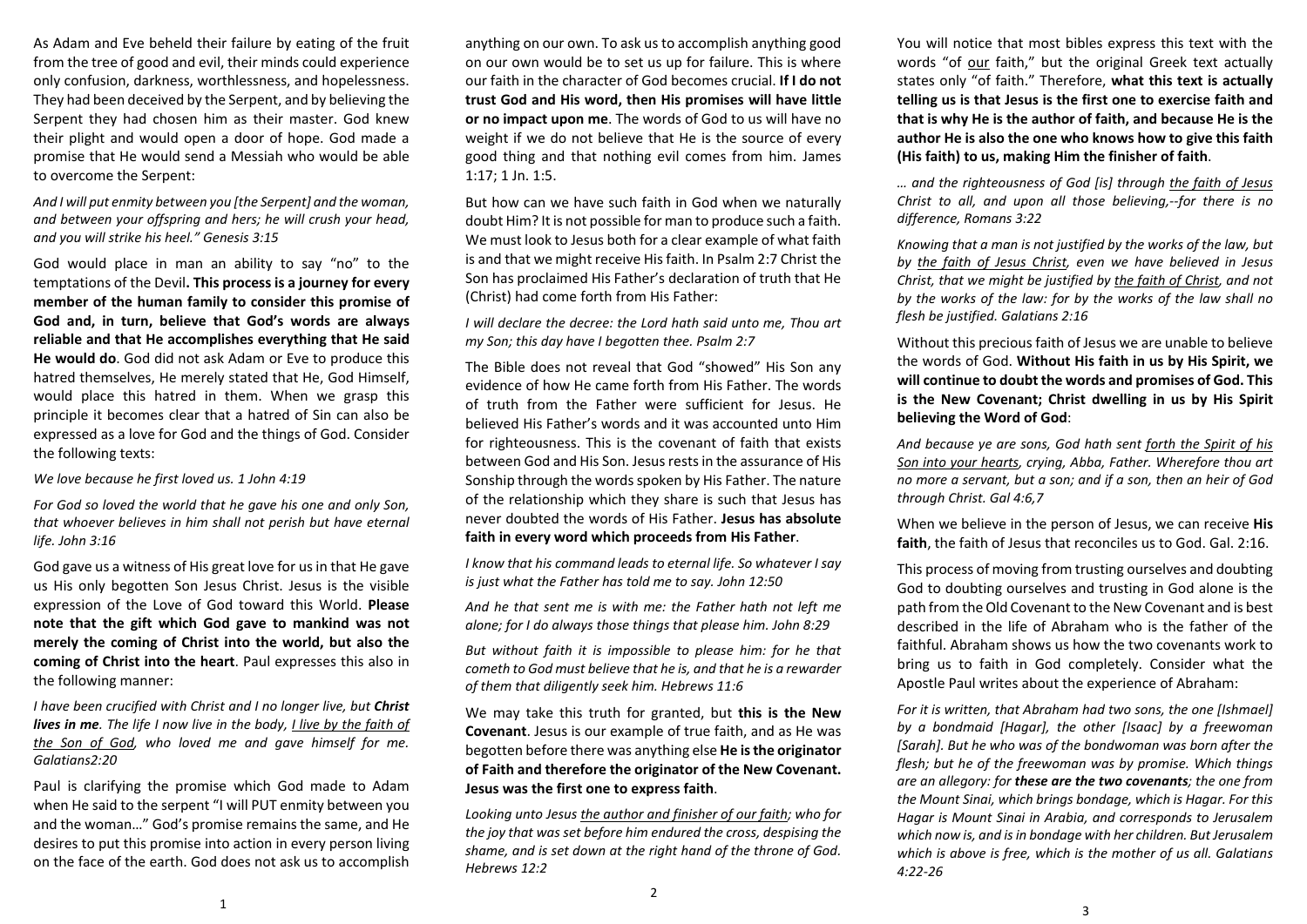As Adam and Eve beheld their failure by eating of the fruit from the tree of good and evil, their minds could experience only confusion, darkness, worthlessness, and hopelessness. They had been deceived by the Serpent, and by believing the Serpent they had chosen him as their master. God knew their plight and would open <sup>a</sup> door of hope. God made <sup>a</sup> promise that He would send a Messiah who would be able to overcome the Serpent:

## *And I will put enmity between you [the Serpent] and the woman, and between your offspring and hers; he will crush your head, and you will strike his heel." Genesis 3:15*

God would place in man an ability to say "no" to the temptations of the Devil**. This process is a journey for every member of the human family to consider this promise of God and, in turn, believe that God's words are always reliable and that He accomplishes everything that He said He would do**. God did not ask Adam or Eve to produce this hatred themselves, He merely stated that He, God Himself, would place this hatred in them. When we grasp this principle it becomes clear that a hatred of Sin can also be expressed as a love for God and the things of God. Consider the following texts:

*We love because he first loved us. 1 John 4:19* 

*For God so loved the world that he gave his one and only Son, that whoever believes in him shall not perish but have eternal life. John 3:16* 

God gave us a witness of His great love for us in that He gave us His only begotten Son Jesus Christ. Jesus is the visible expression of the Love of God toward this World. **Please note that the gift which God gave to mankind was not merely the coming of Christ into the world, but also the coming of Christ into the heart**. Paul expresses this also in the following manner:

*I have been crucified with Christ and I no longer live, but Christ lives in me. The life I now live in the body, I live by the faith of*  the Son of God, who loved me and gave himself for me. *Galatians2:20* 

Paul is clarifying the promise which God made to Adam when He said to the serpent "I will PUT enmity between you and the woman…" God's promise remains the same, and He desires to put this promise into action in every person living on the face of the earth. God does not ask us to accomplish

anything on our own. To ask us to accomplish anything good on our own would be to set us up for failure. This is where our faith in the character of God becomes crucial. **If I do not trust God and His word, then His promises will have little or no impact upon me**. The words of God to us will have no weight if we do not believe that He is the source of every good thing and that nothing evil comes from him. James 1:17; 1 Jn. 1:5.

But how can we have such faith in God when we naturally doubt Him? It is not possible for man to produce such a faith. We must look to Jesus both for a clear example of what faith is and that we might receive His faith. In Psalm 2:7 Christ the Son has proclaimed His Father's declaration of truth that He (Christ) had come forth from His Father:

*I will declare the decree: the Lord hath said unto me, Thou art my Son; this day have I begotten thee. Psalm 2:7* 

The Bible does not reveal that God "showed" His Son any evidence of how He came forth from His Father. The words of truth from the Father were sufficient for Jesus. He believed His Father's words and it was accounted unto Him for righteousness. This is the covenant of faith that exists between God and His Son. Jesus rests in the assurance of His Sonship through the words spoken by His Father. The nature of the relationship which they share is such that Jesus has never doubted the words of His Father. **Jesus has absolute faith in every word which proceeds from His Father**.

*I know that his command leads to eternal life. So whatever I say is just what the Father has told me to say. John 12:50* 

*And he that sent me is with me: the Father hath not left me alone; for I do always those things that please him. John 8:29* 

But without faith it is impossible to please him: for he that *cometh to God must believe that he is, and that he is a rewarder of them that diligently seek him. Hebrews 11:6* 

We may take this truth for granted, but **this is the New Covenant**. Jesus is our example of true faith, and as He was begotten before there was anything else **He is the originator of Faith and therefore the originator of the New Covenant. Jesus was the first one to express faith**.

*Looking unto Jesus the author and finisher of our faith; who for the joy that was set before him endured the cross, despising the shame, and is set down at the right hand of the throne of God. Hebrews 12:2* 

2

You will notice that most bibles express this text with the words "of our faith," but the original Greek text actually states only "of faith." Therefore, **what this text is actually telling us is that Jesus is the first one to exercise faith and that is why He is the author of faith, and because He is the author He is also the one who knows how to give this faith (His faith) to us, making Him the finisher of faith**.

*… and the righteousness of God [is] through the faith of Jesus Christ to all, and upon all those believing,‐‐for there is no difference, Romans 3:22* 

*Knowing that a man is not justified by the works of the law, but*  by the faith of Jesus Christ, even we have believed in Jesus *Christ, that we might be justified by the faith of Christ, and not by the works of the law: for by the works of the law shall no flesh be justified. Galatians 2:16* 

Without this precious faith of Jesus we are unable to believe the words of God. **Without His faith in us by His Spirit, we will continue to doubt the words and promises of God. This is the New Covenant; Christ dwelling in us by His Spirit believing the Word of God**:

*And because ye are sons, God hath sent forth the Spirit of his Son into your hearts, crying, Abba, Father. Wherefore thou art no more a servant, but a son; and if a son, then an heir of God through Christ. Gal 4:6,7* 

When we believe in the person of Jesus, we can receive **His faith**, the faith of Jesus that reconciles us to God. Gal. 2:16.

This process of moving from trusting ourselves and doubting God to doubting ourselves and trusting in God alone is the path from the Old Covenant to the New Covenant and is best described in the life of Abraham who is the father of the faithful. Abraham shows us how the two covenants work to bring us to faith in God completely. Consider what the Apostle Paul writes about the experience of Abraham:

*For it is written, that Abraham had two sons, the one [Ishmael] by <sup>a</sup> bondmaid [Hagar], the other [Isaac] by <sup>a</sup> freewoman [Sarah]. But he who was of the bondwoman was born after the flesh; but he of the freewoman was by promise. Which things are an allegory: for these are the two covenants; the one from the Mount Sinai, which brings bondage, which is Hagar. For this Hagar is Mount Sinai in Arabia, and corresponds to Jerusalem which now is, and is in bondage with her children. But Jerusalem which is above is free, which is the mother of us all. Galatians 4:22‐26*